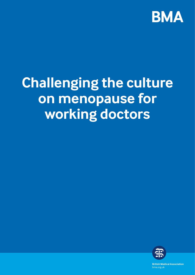

# **Challenging the culture on menopause for working doctors**



**British Medical Association** bma.org.uk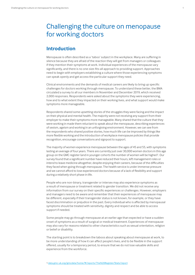# Challenging the culture on menopause for working doctors

### **Introduction**

Menopause is often described as a 'taboo' subject in the workplace. Many are suffering in silence because they are afraid of the reaction they will get from managers or colleagues if they mention their symptoms at work. Individual experiences of the menopause vary significantly, and there is no one-size-fits-all approach to providing support. Approaches need to begin with employers establishing a culture where those experiencing symptoms can speak openly and get access the particular support they need.

Clinical environments and the demands of medical careers are likely to bring up specific challenges for doctors working through menopause. To understand these better, the BMA circulated a survey to all our members in November and December 2019, which received 2,000 responses. Respondents were asked about the symptoms they were experiencing, how and to what extent they impacted on their working lives, and what support would make symptoms more manageable.

Respondents shared some upsetting stories of the struggles they were facing and the impact on their physical and mental health. The majority were not receiving any support from their employer to make their symptoms more manageable. Many shared that the culture that they were working in made them reluctant to speak about the menopause, describing experiences of sexism, ageism and working in an unforgiving environment. However, we can see from the respondents who shared positive stories, how much life can be improved by things like more flexible working and the introduction of workplace menopause policies that provide recognition, encourage conversations and signpost to support.

The majority of women experience menopause between the ages of 45 and 55, with symptoms lasting an average of four years. There are currently just over 30,000 women doctors in this age group on the GMC register (and in younger cohorts the number of women will be higher)<sup>1</sup>. Our survey found that a significant number have reduced their hours, left management roles or intend to leave medicine altogether, despite enjoying their careers, because of the difficulties they faced when going through menopause. The health service is under immense pressure and we cannot afford to lose experienced doctors because of a lack of flexibility and support during a relatively short phase in life.

People who are non-binary, transgender or intersex may also experience symptoms as a result of menopause or treatment related to gender transition. We did not receive any information from our survey on their specific experiences or challenges. However, employers and managers need to be aware and remember that their experiences of menopause may be different, especially if their transgender status is not known, for example, or they have faced discrimination or prejudice in the past. Every individual who is affected by menopausal symptoms should be treated with sensitivity, dignity and respect and be able to access support if needed.

Some people may go through menopause at an earlier age than expected or have a sudden onset of symptoms as a result of surgical or medical treatment. Experiences of menopause may also vary for reasons related to other characteristics such as sexual orientation, religion or belief or disability.

The starting point is to breakdown the taboos about speaking about menopause at work, to be more understanding of how it can affect people's lives, and to be flexible in the support offered, usually for a temporary period, to ensure that we do not lose valuable skills and experience from the workforce.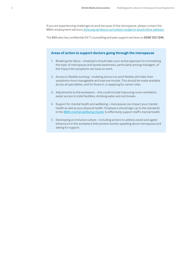If you are experiencing challenges at work because of the menopause, please contact the BMA's [employment advisors:](https://www.bma.org.uk/contact-bma) [bma.org.uk/about-us/contact-us/get-in-touch/bma-advisers](https://www.bma.org.uk/about-us/contact-us/get-in-touch/bma-advisers)

The BMA also has confidential 24/7 counselling and peer support services on **0330 123 1245**.

### **Areas of action to support doctors going through the menopause**

- 1. Breaking the taboo employers should take a pro-active approach to normalising the topic of menopause and spread awareness, particularly among managers, of the impact the symptoms can have on work.
- 2. Access to flexible working enabling doctors to work flexibly will make their symptoms more manageable and improve morale. This should be made available across all specialities, and for those in, or applying for, senior roles.
- 3. Adjustments to the workplace this could include improving room ventilation, easier access to toilet facilities, drinking water and rest breaks.
- 4. Support for mental health and wellbeing menopause can impact your mental health as well as your physical health. Employers should sign-up to the standards in the **BMA's [mental wellbeing charter](https://www.bma.org.uk/advice-and-support/nhs-delivery-and-workforce/health-of-doctors-and-medical-students/improving-the-mental-wellbeing-of-doctors-and-medical-students)** to effectively support staff's mental health.
- 5. Developing an inclusive culture including actions to address sexist and ageist behaviours in the workplace that prevent women speaking about menopause and asking for support.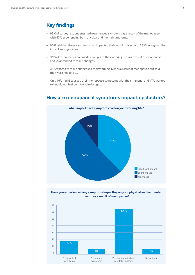### **Key findings**

- 93% of survey respondents had experienced symptoms as a result of the menopause, with 65% experiencing both physical and mental symptoms.
- 90% said that these symptoms had impacted their working lives, with 38% saying that the impact was significant.
- 36% of respondents had made changes to their working lives as a result of menopause and 9% intended to make changes.
- 38% wanted to make changes to their working lives as a result of menopause but said they were not able to.
- Only 16% had discussed their menopause symptoms with their manager and 47% wanted to but did not feel comfortable doing so.



### **How are menopausal symptoms impacting doctors?**



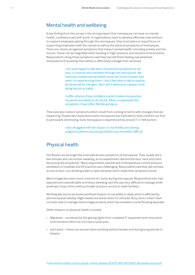### Mental health and wellbeing

A key finding from the survey is the strong impact that menopause can have on mental health, confidence and self-worth. If organisations want to develop effective interventions to support employees going through the menopause, they must place an equal focus on supporting employees with the mental as well as the physical symptoms of menopause. There are clearly recognised symptoms that impact mental health, including anxiety and low moods. These can be magnified when working in high-pressure and stressful environments. Respondents citing these symptoms said they had left them feeling overwhelmed, exhausted and doubting their ability to effectively manage their workload.

> *I am quite happy to talk about my physical symptoms as my boss is a woman who has been through the menopause. My hormone-related mental health issues are more complex and, when I'm experiencing them, I don't feel able to talk to anyone, let alone ask for changes I feel I don't deserve as I appear to be doing my job so badly.*

*I suffer attacks of low confidence which makes me question my worth and ability to do my job. When coupled with the symptoms, I have often felt like giving up.*

There are also indirect symptoms which result from coming to terms with changes that are happening. People who experience early menopause and intended to have children can find it particularly distressing. Early menopause is experienced by around 1 in 100 women.

> *I also struggled with the impact on my fertility and seeing pregnant patients and young children was incredibly difficult.*

### Physical health

Hot flushes are amongst the most well-known symptoms of menopause. They usually last a few minutes and can involve sweating, an increased heart rate and the face, neck and chest becoming red and patchy<sup>2</sup>. Many respondents said the lack of temperature control and poor ventilation in hospitals and GP practices was challenging. Respondents said they did not have access to fans, cool drinking water or open windows which made their symptoms worse.

Menorrhagia becomes more common for some during menopause. Respondents who had experienced unpredictable and heavy bleeding said this was very difficult to manage while working in busy clinics without breaks and poor access to toilet facilities.

Working late due to excessive workload impacts on my ability to sleep which is affected by perimenopause already. Night sweats are worse when I'm stressed. Busy clinics mean I have not been able to manage menorrhagia properly which has resulted in some flooding episodes.

Other impacts on physical health included:

- Migraines worsened by the glaring lights from outdated IT equipment and noisy work environments which do not have a quiet area.
- Joint pains these can worsen when working without breaks and during long periods in theatre.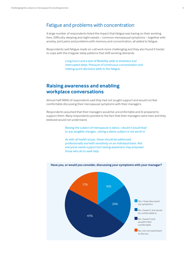### Fatigue and problems with concentration

A large number of respondents listed the impact that fatigue was having on their working lives. Difficulty sleeping and night sweats – common menopausal symptoms – together with anxiety, joint pains and problems with memory and concentration, all added to fatigue.

Respondents said fatigue made on-call work more challenging and they also found it harder to cope with the irregular sleep patterns that shift working demands.

> *Long hours and a lack of flexibility adds to tiredness and interrupted sleep. Pressure of continuous concentration and making quick decisions adds to the fatigue.*

### **Raising awareness and enabling workplace conversations**

Almost half (48%) of respondents said they had not sought support and would not feel comfortable discussing their menopausal symptoms with their managers.

Respondents assumed that their managers would be uncomfortable and ill-prepared to support them. Many respondents pointed to the fact that their managers were men and they believed would not understand.

> *Raising the subject of menopause is taboo. I doubt it would lead to any tangible changes…raising a taboo subject is not worth it.*

*As with all health issues, these should be addressed professionally and with sensitivity on an individual basis. Not everyone needs support but raising awareness may empower those who do to seek help.*



#### **Have you, or would you consider, discussing your symptoms with your manager?**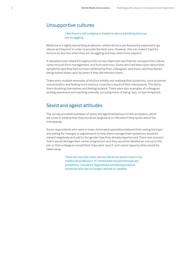### Unsupportive cultures

I feel there is still a stigma in medicine about admitting that you are struggling.

Medicine is a highly demanding profession, where doctors are frequently expected to go 'above and beyond' in order to provide the best care. However, this can make it hard for doctors to disclose when they are struggling and may need more support.

A repeated issue raised throughout the survey responses was that the unsupportive culture came not just from management, but from peers too. Some who had been open about their symptoms said they had not been believed by their colleagues, and many said they feared being looked down upon by peers if they did mention them.

There were multiple examples of doctors initially not realising that symptoms, such as poorer concentration and feeling more anxious, could be a result of their menopause. This led to them doubting themselves and feeling isolated. There were also examples of colleagues lacking awareness and reacting unkindly, accusing them of being 'lazy' or bad-tempered.

### Sexist and ageist attitudes

The survey provided examples of sexist and ageist behaviours in the workplace, which led some to believe that they would be laughed at or ridiculed if they spoke about the menopause.

Some respondents who were in male-dominated specialties believed that raising the topic and asking for changes or adjustments to help them manage their symptoms would be viewed negatively and add to the gender bias they already experienced. There was concern that it would damage their career progression and they would be labelled as 'not up to the job' or that colleagues would think they were 'past it' and career opportunities would be taken away.

> There are very few older women left at my senior level in my traditional profession. If I mentioned my perimenopausal symptoms, I would be stigmatised and disrespected as someone who was no longer rational or capable.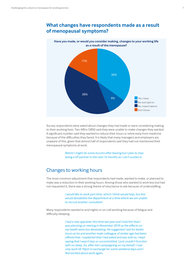

# **What changes have respondents made as a result**



Survey respondents were asked about changes they had made or were considering making to their working lives. Two-fifths (38%) said they were unable to make changes they wanted. A significant number said they wanted to reduce their hours or retire early from medicine because of the difficulties they faced. It is likely that many managers and employers are unaware of this, given that almost half of respondents said they had not mentioned their menopausal symptoms at work.

> *Retire! I might do some locums after leaving but I plan to stop being a GP partner in the next 12 months as I can't sustain it.*

## Changes to working hours

The most common adjustment that respondents had made, wanted to make, or planned to make was a reduction in their working hours. Among those who wanted to work less but had not requested it, there was a strong theme of reluctance to ask because of understaffing.

> *I would like to work part time, which I think would help, but this would destabilise the department at a time where we are unable to recruit another consultant.*

Many respondents wanted to end nights or on-call working because of fatigue and difficulty sleeping.

> *I had a new appraiser this time last year and I told him that I was planning on retiring in November 2019 as the effects on my health were too devastating. He suggested I ask for better hours as he and another male colleague of similar age had been offered that. I explained that I had asked and was told no. I kept saying that I wasn't lazy or uncommitted, I just couldn't function with no sleep. So, after him campaigning on my behalf, I now only work till 10pm in exchange for some weekend days and I feel excited about work again.*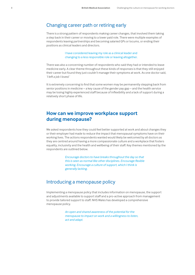### Changing career path or retiring early

There is a strong pattern of respondents making career changes, that involved them taking a step back in their career or moving to a lower paid role. There were multiple examples of respondents leaving partnerships and becoming salaried GPs or locums, or ending their positions as clinical leaders and directors.

> I have considered leaving my role as a clinical leader and changing to a less responsible role or leaving altogether.

There was also a concerning number of respondents who said they had or intended to leave medicine early. A clear theme throughout these kinds of responses is that they still enjoyed their career but found they just couldn't manage their symptoms at work. As one doctor said, *'I left a job I loved.'* 

It is extremely concerning to find that some women may be permanently stepping back from senior positions in medicine – a key cause of the gender pay gap – and the health service may be losing highly experienced staff because of inflexibility and a lack of support during a relatively short phase of life.

### **How can we improve workplace support during menopause?**

We asked respondents how they could feel better supported at work and about changes they or their employer had made to reduce the impact that menopausal symptoms have on their working lives. The actions respondents wanted would likely be welcomed by all doctors as they are centred around having a more compassionate culture and a workplace that fosters equality, inclusivity and the health and wellbeing of their staff. Key themes mentioned by the respondents are outlined below.

> *Encourage doctors to have breaks throughout the day so that this is seen as normal like other disciplines. Encourage flexible working. Encourage a culture of support, which I think is generally lacking.*

### Introducing a menopause policy

Implementing a menopause policy that includes information on menopause, the support and adjustments available to support staff and a pro-active approach from management to provide tailored support to staff. NHS Wales has developed a comprehensive [menopause policy](https://www.nhsconfed.org/-/media/Confederation/Files/Wales-Confed/Wales-Employers/FINAL-NHS-Wales-Menopause-Policy-19-Dec-18.pdf).

> *An open and shared awareness of the potential for the menopause to impact on work and a willingness to listen, act and adapt.*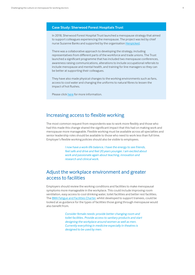### **Case Study: Sherwood Forest Hospitals Trust**

In 2018, Sherwood Forest Hospital Trust launched a menopause strategy that aimed to support colleagues experiencing the menopause. The project was led by chief nurse Suzanne Banks and supported by the organisation [Henpicked.](https://henpicked.net/)

There was a collaborative approach to developing the strategy, including representatives from different parts of the workforce and trade unions. The Trust launched a significant programme that has included two menopause conferences, awareness raising communications, alterations to include occupational referrals to include menopause and mental health, and training for line managers so they can be better at supporting their colleagues.

They have also made physical changes to the working environments such as fans, access to cool water and changing the uniforms to natural fibres to lessen the impact of hot flushes.

Please click [here](https://www.nhsemployers.org/-/media/Employers/Documents/Retain-and-improve/Health-and-wellbeing/Sherwood---menopause_-final2.pdf) for more information.

### Increasing access to flexible working

The most common request from respondents was to work more flexibly and those who had this made this change shared the significant impact that this had on making work and menopause more manageable. Flexible working must be available across all specialties and senior leadership roles should be available to those who need to work less than full time. Employer's flexible working policies should also be visible to employees.

> *I now have a work-life balance, I have the energy to see friends, feel safe and drive and feel 20 years younger. I am excited about work and passionate again about teaching, innovation and research and clinical work.*

### Adjust the workplace environment and greater access to facilities

Employers should review the working conditions and facilities to make menopausal symptoms more manageable in the workplace. This could include improving room ventilation, easy access to cool drinking water, toilet facilities and better rest facilities. The BMA [Fatigue and Facilities Charter](https://www.bma.org.uk/media/1076/bma-fatigue-and-facilities-charter_july2018.pdf), whilst developed to support trainees, could be looked at as guidance for the types of facilities those going through menopause would also benefit from.

> *Consider female needs: provide better changing room and toilet facilities. Provide access to sanitary products and start designing the workplace around women as well as men. Currently everything in medicine especially in theatres is designed to be used by men.*